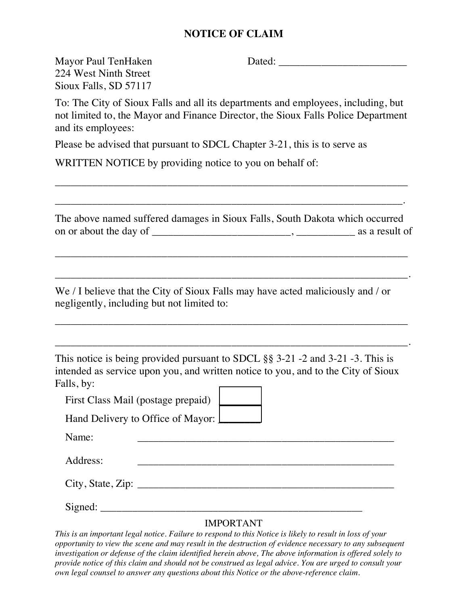## **NOTICE OF CLAIM**

Mayor Paul TenHaken Dated: \_\_\_\_\_\_\_\_\_\_\_\_\_\_\_\_\_\_\_\_\_\_\_\_

224 West Ninth Street Sioux Falls, SD 57117

To: The City of Sioux Falls and all its departments and employees, including, but not limited to, the Mayor and Finance Director, the Sioux Falls Police Department and its employees:

Please be advised that pursuant to SDCL Chapter 3-21, this is to serve as

WRITTEN NOTICE by providing notice to you on behalf of:

The above named suffered damages in Sioux Falls, South Dakota which occurred on or about the day of \_\_\_\_\_\_\_\_\_\_\_\_\_\_\_\_\_\_\_\_\_\_\_\_\_\_, \_\_\_\_\_\_\_\_\_\_\_ as a result of

\_\_\_\_\_\_\_\_\_\_\_\_\_\_\_\_\_\_\_\_\_\_\_\_\_\_\_\_\_\_\_\_\_\_\_\_\_\_\_\_\_\_\_\_\_\_\_\_\_\_\_\_\_\_\_\_\_\_\_\_\_\_\_\_\_\_

\_\_\_\_\_\_\_\_\_\_\_\_\_\_\_\_\_\_\_\_\_\_\_\_\_\_\_\_\_\_\_\_\_\_\_\_\_\_\_\_\_\_\_\_\_\_\_\_\_\_\_\_\_\_\_\_\_\_\_\_\_\_\_\_\_\_.

\_\_\_\_\_\_\_\_\_\_\_\_\_\_\_\_\_\_\_\_\_\_\_\_\_\_\_\_\_\_\_\_\_\_\_\_\_\_\_\_\_\_\_\_\_\_\_\_\_\_\_\_\_\_\_\_\_\_\_\_\_\_\_\_\_\_

\_\_\_\_\_\_\_\_\_\_\_\_\_\_\_\_\_\_\_\_\_\_\_\_\_\_\_\_\_\_\_\_\_\_\_\_\_\_\_\_\_\_\_\_\_\_\_\_\_\_\_\_\_\_\_\_\_\_\_\_\_\_\_\_\_\_.

\_\_\_\_\_\_\_\_\_\_\_\_\_\_\_\_\_\_\_\_\_\_\_\_\_\_\_\_\_\_\_\_\_\_\_\_\_\_\_\_\_\_\_\_\_\_\_\_\_\_\_\_\_\_\_\_\_\_\_\_\_\_\_\_\_\_

\_\_\_\_\_\_\_\_\_\_\_\_\_\_\_\_\_\_\_\_\_\_\_\_\_\_\_\_\_\_\_\_\_\_\_\_\_\_\_\_\_\_\_\_\_\_\_\_\_\_\_\_\_\_\_\_\_\_\_\_\_\_\_\_\_.

We / I believe that the City of Sioux Falls may have acted maliciously and / or negligently, including but not limited to:

This notice is being provided pursuant to SDCL §§ 3-21 -2 and 3-21 -3. This is intended as service upon you, and written notice to you, and to the City of Sioux Falls, by:

First Class Mail (postage prepaid)

Hand Delivery to Office of Mayor:  $\boxed{\phantom{1.5}}$ 

Name: \_\_\_\_\_\_\_\_\_\_\_\_\_\_\_\_\_\_\_\_\_\_\_\_\_\_\_\_\_\_\_\_\_\_\_\_\_\_\_\_\_\_\_\_\_\_\_\_

Address: \_\_\_\_\_\_\_\_\_\_\_\_\_\_\_\_\_\_\_\_\_\_\_\_\_\_\_\_\_\_\_\_\_\_\_\_\_\_\_\_\_\_\_\_\_\_\_\_

 $City, State, Zip: \_\_$ 

Signed: \_\_\_\_\_\_\_\_\_\_\_\_\_\_\_\_\_\_\_\_\_\_\_\_\_\_\_\_\_\_\_\_\_\_\_\_\_\_\_\_\_\_\_\_\_\_\_\_\_

#### IMPORTANT

*This is an important legal notice. Failure to respond to this Notice is likely to result in loss of your opportunity to view the scene and may result in the destruction of evidence necessary to any subsequent investigation or defense of the claim identified herein above, The above information is offered solely to provide notice of this claim and should not be construed as legal advice. You are urged to consult your own legal counsel to answer any questions about this Notice or the above-reference claim.*